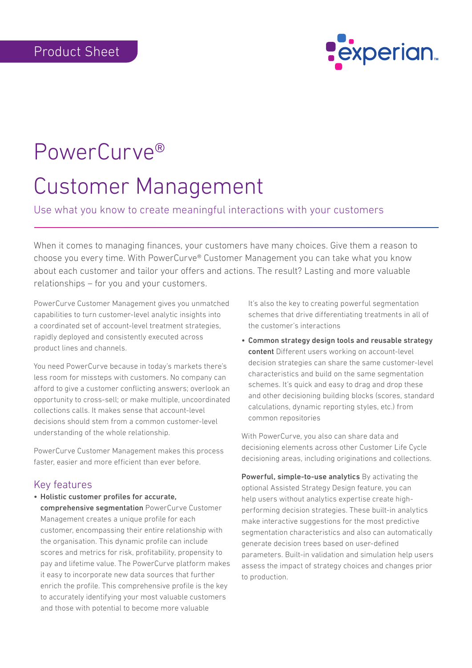

## PowerCurve® Customer Management

Use what you know to create meaningful interactions with your customers

When it comes to managing finances, your customers have many choices. Give them a reason to choose you every time. With PowerCurve® Customer Management you can take what you know about each customer and tailor your offers and actions. The result? Lasting and more valuable relationships – for you and your customers.

PowerCurve Customer Management gives you unmatched capabilities to turn customer-level analytic insights into a coordinated set of account-level treatment strategies, rapidly deployed and consistently executed across product lines and channels.

You need PowerCurve because in today's markets there's less room for missteps with customers. No company can afford to give a customer conflicting answers; overlook an opportunity to cross-sell; or make multiple, uncoordinated collections calls. It makes sense that account-level decisions should stem from a common customer-level understanding of the whole relationship.

PowerCurve Customer Management makes this process faster, easier and more efficient than ever before.

## Key features

• Holistic customer profiles for accurate,

comprehensive segmentation PowerCurve Customer Management creates a unique profile for each customer, encompassing their entire relationship with the organisation. This dynamic profile can include scores and metrics for risk, profitability, propensity to pay and lifetime value. The PowerCurve platform makes it easy to incorporate new data sources that further enrich the profile. This comprehensive profile is the key to accurately identifying your most valuable customers and those with potential to become more valuable

It's also the key to creating powerful segmentation schemes that drive differentiating treatments in all of the customer's interactions

• Common strategy design tools and reusable strategy content Different users working on account-level decision strategies can share the same customer-level characteristics and build on the same segmentation schemes. It's quick and easy to drag and drop these and other decisioning building blocks (scores, standard calculations, dynamic reporting styles, etc.) from common repositories

With PowerCurve, you also can share data and decisioning elements across other Customer Life Cycle decisioning areas, including originations and collections.

Powerful, simple-to-use analytics By activating the optional Assisted Strategy Design feature, you can help users without analytics expertise create highperforming decision strategies. These built-in analytics make interactive suggestions for the most predictive segmentation characteristics and also can automatically generate decision trees based on user-defined parameters. Built-in validation and simulation help users assess the impact of strategy choices and changes prior to production.